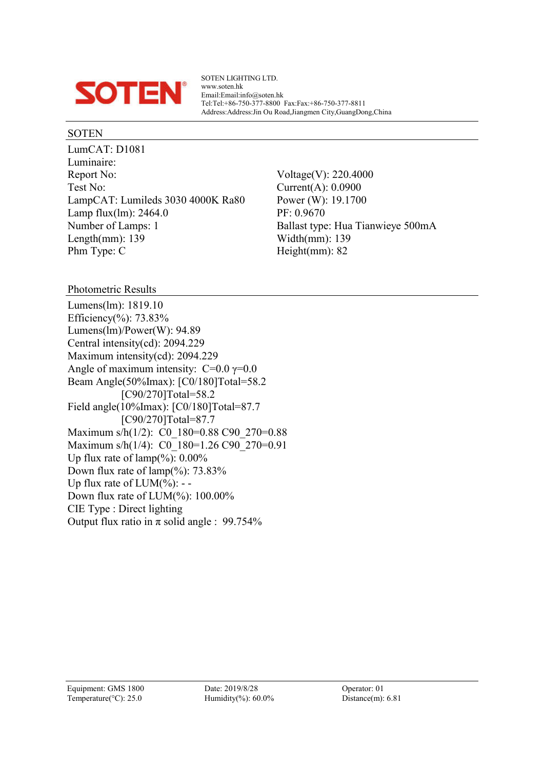

SOTEN LIGHTING LTD. www.soten.hk Email:Email:info@soten.hk Tel:Tel:+86-750-377-8800 Fax:Fax:+86-750-377-8811 Address:Address:Jin Ou Road,Jiangmen City,GuangDong,China

#### SOTEN

LumCAT: D1081 Luminaire: Report No: Voltage(V): 220.4000 Test No: Current(A): 0.0900 LampCAT: Lumileds 3030 4000K Ra80 Power (W): 19.1700 Lamp flux(lm): 2464.0 PF: 0.9670 Number of Lamps: 1 Ballast type: Hua Tianwieye 500mA Length(mm): 139 Width(mm): 139 Phm Type: C Height(mm): 82

Photometric Results

Lumens(lm): 1819.10 Efficiency(%): 73.83% Lumens(lm)/Power(W): 94.89 Central intensity(cd): 2094.229 Maximum intensity(cd): 2094.229 Angle of maximum intensity:  $C=0.0$   $\gamma=0.0$ Beam Angle(50%Imax): [C0/180]Total=58.2 [C90/270]Total=58.2 Field angle(10%Imax): [C0/180]Total=87.7 [C90/270]Total=87.7 Maximum s/h(1/2): C0\_180=0.88 C90\_270=0.88 Maximum s/h(1/4): C0\_180=1.26 C90\_270=0.91 Up flux rate of  $\text{lamp}(\%): 0.00\%$ Down flux rate of  $\text{lamp}(\%)$ : 73.83% Up flux rate of  $LUM(\%)$ : --Down flux rate of LUM(%): 100.00% CIE Type : Direct lighting Output flux ratio in  $\pi$  solid angle : 99.754%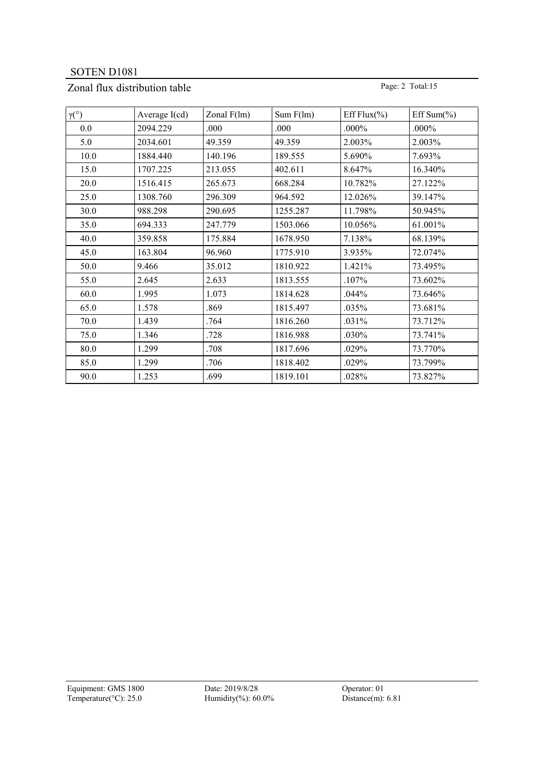## Zonal flux distribution table Page: 2 Total:15

| $\gamma$ <sup>(°)</sup> | Average $I(cd)$ | Zonal $F(lm)$ | Sum F(lm) | Eff Flux $(\% )$ | Eff Sum $(\% )$ |
|-------------------------|-----------------|---------------|-----------|------------------|-----------------|
| 0.0                     | 2094.229        | .000.         | .000      | .000%            | .000%           |
| 5.0                     | 2034.601        | 49.359        | 49.359    | 2.003%           | 2.003%          |
| 10.0                    | 1884.440        | 140.196       | 189.555   | 5.690%           | 7.693%          |
| 15.0                    | 1707.225        | 213.055       | 402.611   | 8.647%           | 16.340%         |
| 20.0                    | 1516.415        | 265.673       | 668.284   | 10.782%          | 27.122%         |
| 25.0                    | 1308.760        | 296.309       | 964.592   | 12.026%          | 39.147%         |
| 30.0                    | 988.298         | 290.695       | 1255.287  | 11.798%          | 50.945%         |
| 35.0                    | 694.333         | 247.779       | 1503.066  | 10.056%          | 61.001%         |
| 40.0                    | 359.858         | 175.884       | 1678.950  | 7.138%           | 68.139%         |
| 45.0                    | 163.804         | 96.960        | 1775.910  | 3.935%           | 72.074%         |
| 50.0                    | 9.466           | 35.012        | 1810.922  | 1.421%           | 73.495%         |
| 55.0                    | 2.645           | 2.633         | 1813.555  | .107%            | 73.602%         |
| 60.0                    | 1.995           | 1.073         | 1814.628  | .044%            | 73.646%         |
| 65.0                    | 1.578           | .869          | 1815.497  | .035%            | 73.681%         |
| 70.0                    | 1.439           | .764          | 1816.260  | .031%            | 73.712%         |
| 75.0                    | 1.346           | .728          | 1816.988  | .030%            | 73.741%         |
| 80.0                    | 1.299           | .708          | 1817.696  | .029%            | 73.770%         |
| 85.0                    | 1.299           | .706          | 1818.402  | .029%            | 73.799%         |
| 90.0                    | 1.253           | .699          | 1819.101  | .028%            | 73.827%         |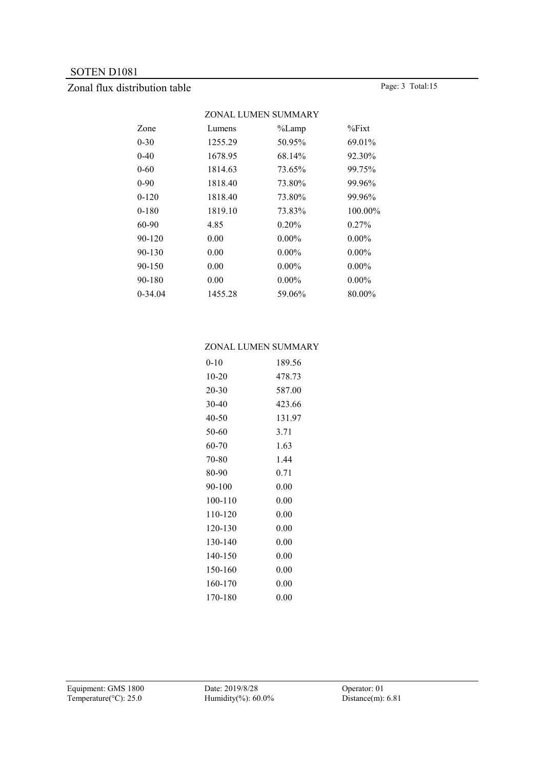## Zonal flux distribution table Page: 3 Total:15

|           |         | ZONAL LUMEN SUMMARY |          |
|-----------|---------|---------------------|----------|
| Zone      | Lumens  | $\%$ Lamp           | %Fixt    |
| 0-30      | 1255.29 | 50.95%              | 69.01%   |
| $0 - 40$  | 1678.95 | 68.14%              | 92.30%   |
| 0-60      | 1814.63 | 73.65%              | 99.75%   |
| $0-90$    | 1818.40 | 73.80%              | 99.96%   |
| 0-120     | 1818.40 | 73.80%              | 99.96%   |
| $0 - 180$ | 1819.10 | 73.83%              | 100.00%  |
| 60-90     | 4.85    | $0.20\%$            | 0.27%    |
| 90-120    | 0.00    | $0.00\%$            | $0.00\%$ |
| 90-130    | 0.00    | $0.00\%$            | $0.00\%$ |
| 90-150    | 0.00    | $0.00\%$            | $0.00\%$ |
| 90-180    | 0.00    | $0.00\%$            | $0.00\%$ |
| 0-34.04   | 1455.28 | 59.06%              | 80.00%   |
|           |         |                     |          |

#### ZONAL LUMEN SUMMARY

| $0 - 10$  | 189.56   |
|-----------|----------|
| $10 - 20$ | 478.73   |
| 20-30     | 587.00   |
| 30-40     | 423.66   |
| 40-50     | 131.97   |
| 50-60     | 3.71     |
| 60-70     | 1.63     |
| 70-80     | 144      |
| 80-90     | 0.71     |
| 90-100    | $0.00\,$ |
| 100-110   | 0.00     |
| 110-120   | 0.00     |
| 120-130   | 0.00     |
| 130-140   | $0.00\,$ |
| 140-150   | $0.00\,$ |
| 150-160   | 0.00     |
| 160-170   | $0.00\,$ |
| 170-180   | $0.00\,$ |
|           |          |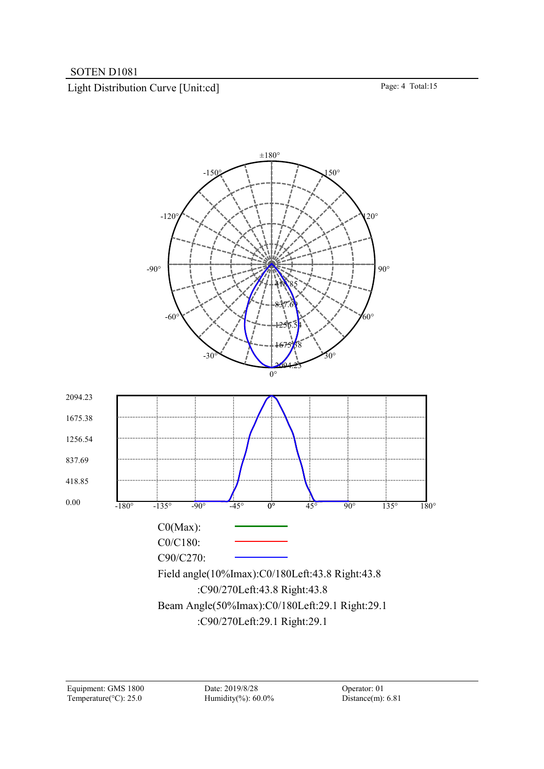Light Distribution Curve [Unit:cd] Page: 4 Total:15

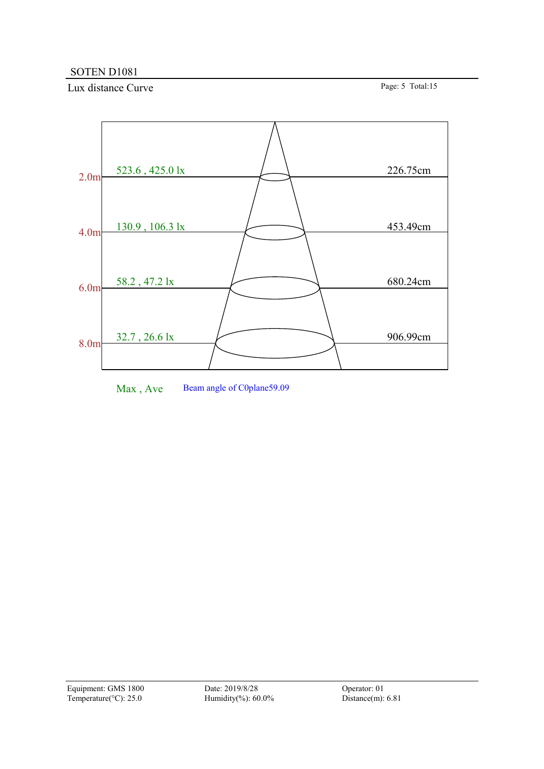Lux distance Curve Page: 5 Total:15



Max, Ave Beam angle of C0plane59.09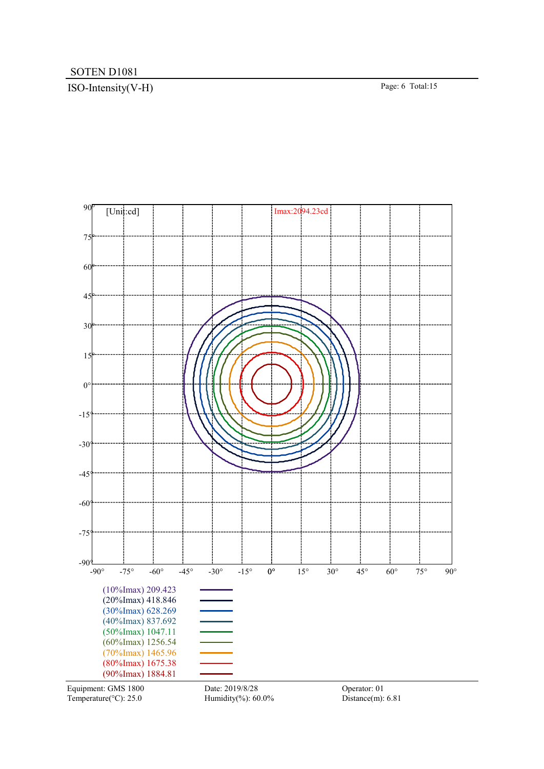# ISO-Intensity(V-H) Page: 6 Total:15



Temperature( $°C$ ): 25.0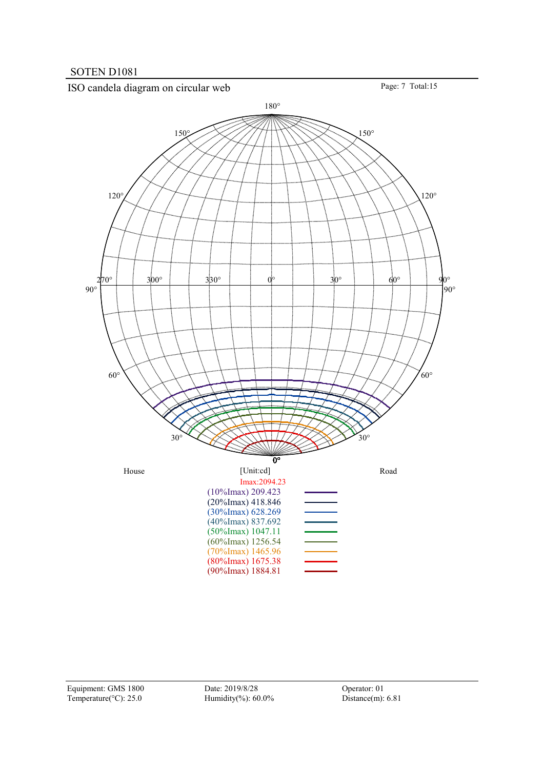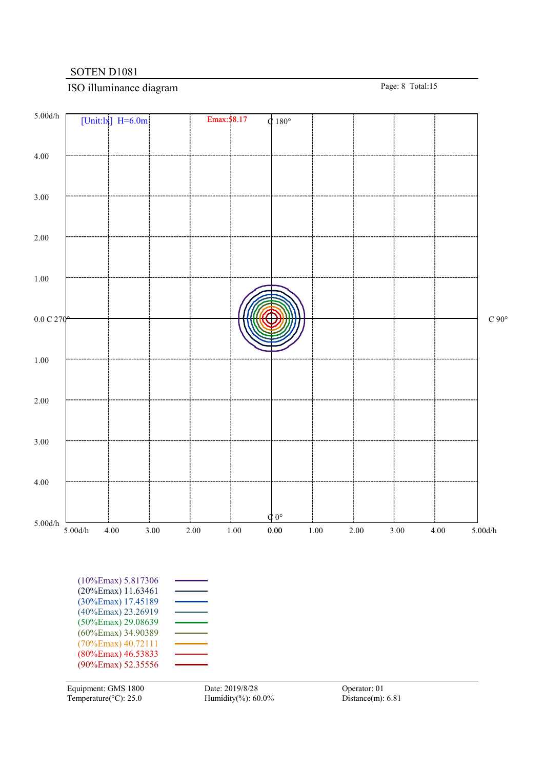# ISO illuminance diagram Page: 8 Total:15

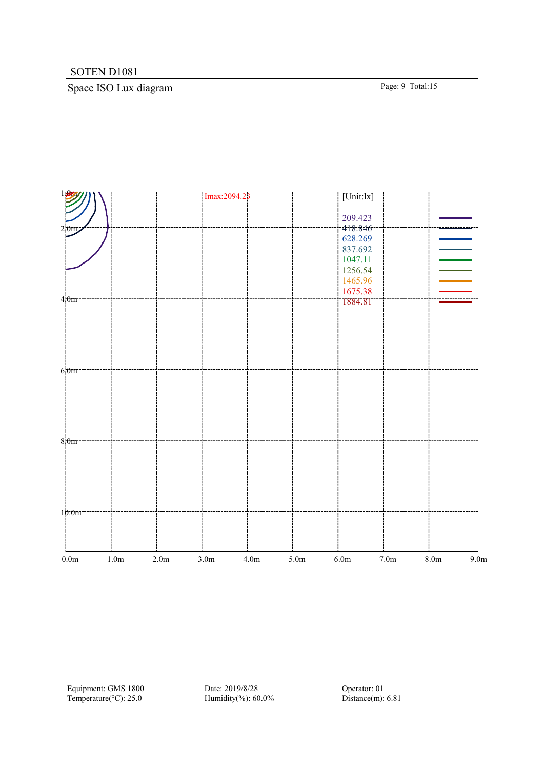# Space ISO Lux diagram Page: 9 Total:15

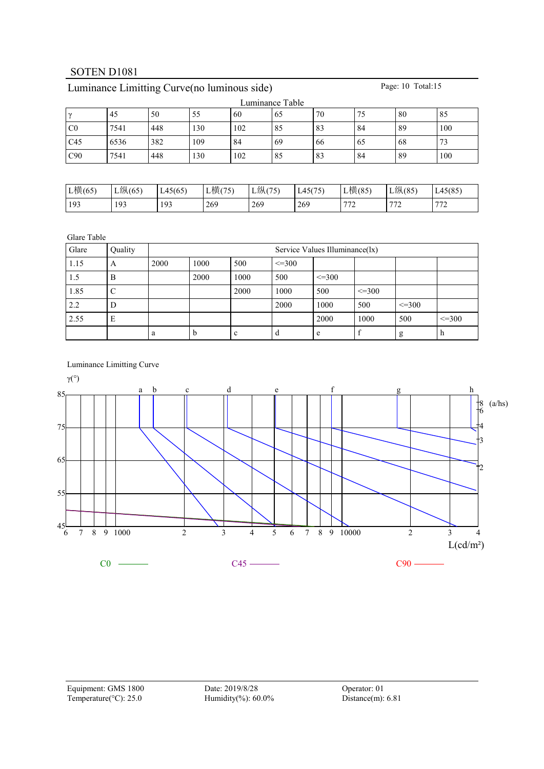| Luminance Table |      |     |     |     |    |    |    |    |     |  |  |
|-----------------|------|-----|-----|-----|----|----|----|----|-----|--|--|
| $\sim$          | 45   | 50  | 55  | 60  | 65 | 70 | 75 | 80 | 85  |  |  |
| C <sub>0</sub>  | 7541 | 448 | 130 | 102 | 85 | 83 | 84 | 89 | 100 |  |  |
| C45             | 6536 | 382 | 109 | 84  | 69 | 66 | 65 | 68 | 73  |  |  |
| C90             | 7541 | 448 | 130 | 102 | 85 | 83 | 84 | 89 | 100 |  |  |

# Luminance Limitting Curve(no luminous side) Page: 10 Total:15

| L横(65) | L纵(65) | L45(65) | 横(75) | L纵(75) | L45(75) | L横(85)                       | L纵(85      | L45(85)           |
|--------|--------|---------|-------|--------|---------|------------------------------|------------|-------------------|
| 193    | 193    | 193     | 269   | 269    | 269     | $\overline{a}$<br>$\sqrt{2}$ | 772<br>ے ، | 772<br>$\sqrt{2}$ |

Glare Table

| Glare | Quality |      | Service Values Illuminance(lx) |      |              |              |              |              |              |  |  |  |
|-------|---------|------|--------------------------------|------|--------------|--------------|--------------|--------------|--------------|--|--|--|
| 1.15  | A       | 2000 | 1000                           | 500  | $\leq$ = 300 |              |              |              |              |  |  |  |
| 1.5   | B       |      | 2000                           | 1000 | 500          | $\leq$ = 300 |              |              |              |  |  |  |
| 1.85  |         |      |                                | 2000 | 1000         | 500          | $\leq$ = 300 |              |              |  |  |  |
| 2.2   | D       |      |                                |      | 2000         | 1000         | 500          | $\leq = 300$ |              |  |  |  |
| 2.55  | E       |      |                                |      |              | 2000         | 1000         | 500          | $\leq$ = 300 |  |  |  |
|       |         | a    | n                              | c    | d            | e            |              | g            | n            |  |  |  |

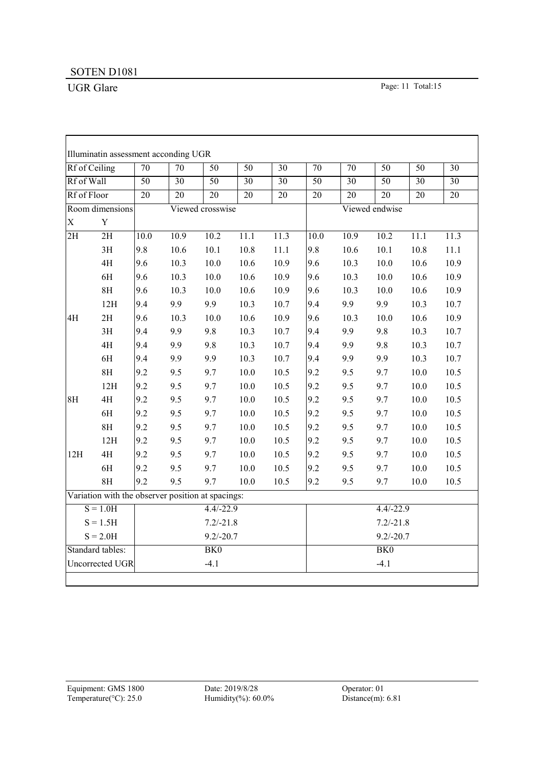$\mathsf{r}$ 

┑

|                 | Illuminatin assessment acconding UGR              |                 |                 |                  |                 |                 |                 |                 |                 |                 |                 |
|-----------------|---------------------------------------------------|-----------------|-----------------|------------------|-----------------|-----------------|-----------------|-----------------|-----------------|-----------------|-----------------|
| Rf of Ceiling   |                                                   | $\overline{70}$ | $\overline{70}$ | $\overline{50}$  | $\overline{50}$ | $\overline{30}$ | $\overline{70}$ | $\overline{70}$ | $\overline{50}$ | $\overline{50}$ | $\overline{30}$ |
| Rf of Wall      |                                                   | $\overline{50}$ | $\overline{30}$ | $\overline{50}$  | $\overline{30}$ | $\overline{30}$ | $\overline{50}$ | $\overline{30}$ | $\overline{50}$ | $\overline{30}$ | $\overline{30}$ |
| Rf of Floor     |                                                   | $\overline{20}$ | $\overline{20}$ | $\overline{20}$  | $\overline{20}$ | $\overline{20}$ | $\overline{20}$ | $\overline{20}$ | $\overline{20}$ | $\overline{20}$ | $\overline{20}$ |
|                 | Room dimensions                                   |                 |                 | Viewed crosswise |                 |                 |                 |                 | Viewed endwise  |                 |                 |
| $\mathbf X$     | Y                                                 |                 |                 |                  |                 |                 |                 |                 |                 |                 |                 |
| $\overline{2H}$ | 2H                                                | 10.0            | 10.9            | 10.2             | 11.1            | 11.3            | 10.0            | 10.9            | 10.2            | 11.1            | 11.3            |
|                 | 3H                                                | 9.8             | 10.6            | 10.1             | 10.8            | 11.1            | 9.8             | 10.6            | 10.1            | 10.8            | 11.1            |
|                 | 4H                                                | 9.6             | 10.3            | 10.0             | 10.6            | 10.9            | 9.6             | 10.3            | 10.0            | 10.6            | 10.9            |
|                 | 6H                                                | 9.6             | 10.3            | 10.0             | 10.6            | 10.9            | 9.6             | 10.3            | 10.0            | 10.6            | 10.9            |
|                 | 8H                                                | 9.6             | 10.3            | 10.0             | 10.6            | 10.9            | 9.6             | 10.3            | 10.0            | 10.6            | 10.9            |
|                 | 12H                                               | 9.4             | 9.9             | 9.9              | 10.3            | 10.7            | 9.4             | 9.9             | 9.9             | 10.3            | 10.7            |
| 4H              | 2H                                                | 9.6             | 10.3            | 10.0             | 10.6            | 10.9            | 9.6             | 10.3            | 10.0            | 10.6            | 10.9            |
|                 | 3H                                                | 9.4             | 9.9             | 9.8              | 10.3            | 10.7            | 9.4             | 9.9             | 9.8             | 10.3            | 10.7            |
|                 | 4H                                                | 9.4             | 9.9             | 9.8              | 10.3            | 10.7            | 9.4             | 9.9             | 9.8             | 10.3            | 10.7            |
|                 | 6H                                                | 9.4             | 9.9             | 9.9              | 10.3            | 10.7            | 9.4             | 9.9             | 9.9             | 10.3            | 10.7            |
|                 | 8H                                                | 9.2             | 9.5             | 9.7              | 10.0            | 10.5            | 9.2             | 9.5             | 9.7             | 10.0            | 10.5            |
|                 | 12H                                               | 9.2             | 9.5             | 9.7              | 10.0            | 10.5            | 9.2             | 9.5             | 9.7             | 10.0            | 10.5            |
| 8H              | 4H                                                | 9.2             | 9.5             | 9.7              | 10.0            | 10.5            | 9.2             | 9.5             | 9.7             | 10.0            | 10.5            |
|                 | 6H                                                | 9.2             | 9.5             | 9.7              | 10.0            | 10.5            | 9.2             | 9.5             | 9.7             | 10.0            | 10.5            |
|                 | 8H                                                | 9.2             | 9.5             | 9.7              | 10.0            | 10.5            | 9.2             | 9.5             | 9.7             | 10.0            | 10.5            |
|                 | 12H                                               | 9.2             | 9.5             | 9.7              | 10.0            | 10.5            | 9.2             | 9.5             | 9.7             | 10.0            | 10.5            |
| 12H             | 4H                                                | 9.2             | 9.5             | 9.7              | 10.0            | 10.5            | 9.2             | 9.5             | 9.7             | 10.0            | 10.5            |
|                 | 6H                                                | 9.2             | 9.5             | 9.7              | 10.0            | 10.5            | 9.2             | 9.5             | 9.7             | 10.0            | 10.5            |
|                 | 8H                                                | 9.2             | 9.5             | 9.7              | 10.0            | 10.5            | 9.2             | 9.5             | 9.7             | 10.0            | 10.5            |
|                 | Variation with the observer position at spacings: |                 |                 |                  |                 |                 |                 |                 |                 |                 |                 |
|                 | $S = 1.0H$                                        |                 |                 | $4.4/-22.9$      |                 |                 |                 |                 | $4.4/-22.9$     |                 |                 |
|                 | $S = 1.5H$                                        |                 |                 | $7.2/-21.8$      |                 |                 |                 |                 | $7.2/-21.8$     |                 |                 |
|                 | $S = 2.0H$                                        |                 |                 | $9.2/-20.7$      |                 |                 |                 |                 | $9.2/-20.7$     |                 |                 |
|                 | Standard tables:                                  |                 |                 | BK <sub>0</sub>  |                 |                 |                 |                 | BK <sub>0</sub> |                 |                 |
|                 | Uncorrected UGR                                   |                 |                 | $-4.1$           |                 |                 |                 |                 | $-4.1$          |                 |                 |
|                 |                                                   |                 |                 |                  |                 |                 |                 |                 |                 |                 |                 |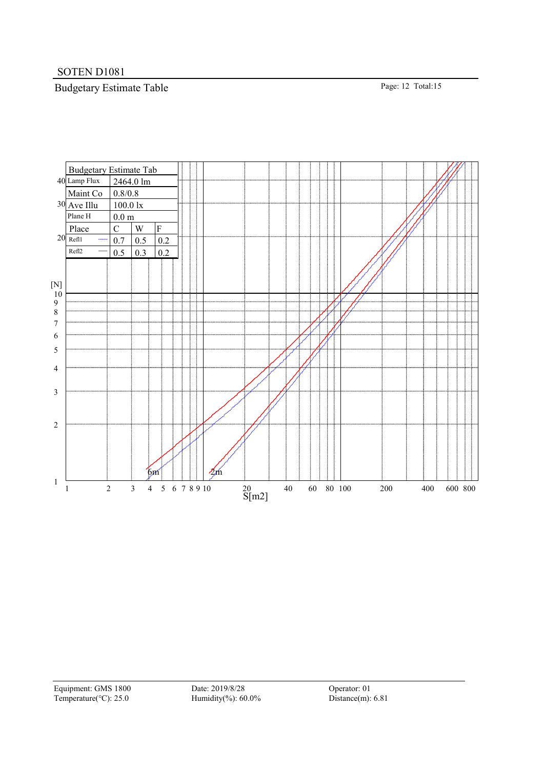# Budgetary Estimate Table Page: 12 Total:15

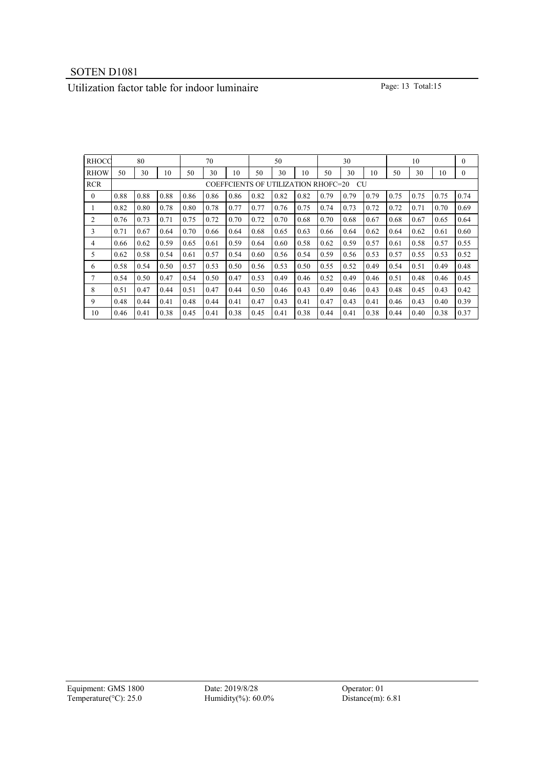# Utilization factor table for indoor luminaire Page: 13 Total:15

| <b>RHOCC</b> | 80<br>70                                         |      |      |      |      | 50<br>30 |      |      |      |      | 10   |      |      |      |      |              |
|--------------|--------------------------------------------------|------|------|------|------|----------|------|------|------|------|------|------|------|------|------|--------------|
| <b>RHOW</b>  | 50                                               | 30   | 10   | 50   | 30   | 10       | 50   | 30   | 10   | 50   | 30   | 10   | 50   | 30   | 10   | $\mathbf{0}$ |
| <b>RCR</b>   | <b>COEFFCIENTS OF UTILIZATION RHOFC=20</b><br>CU |      |      |      |      |          |      |      |      |      |      |      |      |      |      |              |
| $\mathbf{0}$ | 0.88                                             | 0.88 | 0.88 | 0.86 | 0.86 | 0.86     | 0.82 | 0.82 | 0.82 | 0.79 | 0.79 | 0.79 | 0.75 | 0.75 | 0.75 | 0.74         |
| $\mathbf{L}$ | 0.82                                             | 0.80 | 0.78 | 0.80 | 0.78 | 0.77     | 0.77 | 0.76 | 0.75 | 0.74 | 0.73 | 0.72 | 0.72 | 0.71 | 0.70 | 0.69         |
| 2            | 0.76                                             | 0.73 | 0.71 | 0.75 | 0.72 | 0.70     | 0.72 | 0.70 | 0.68 | 0.70 | 0.68 | 0.67 | 0.68 | 0.67 | 0.65 | 0.64         |
| 3            | 0.71                                             | 0.67 | 0.64 | 0.70 | 0.66 | 0.64     | 0.68 | 0.65 | 0.63 | 0.66 | 0.64 | 0.62 | 0.64 | 0.62 | 0.61 | 0.60         |
| 4            | 0.66                                             | 0.62 | 0.59 | 0.65 | 0.61 | 0.59     | 0.64 | 0.60 | 0.58 | 0.62 | 0.59 | 0.57 | 0.61 | 0.58 | 0.57 | 0.55         |
| 5            | 0.62                                             | 0.58 | 0.54 | 0.61 | 0.57 | 0.54     | 0.60 | 0.56 | 0.54 | 0.59 | 0.56 | 0.53 | 0.57 | 0.55 | 0.53 | 0.52         |
| 6            | 0.58                                             | 0.54 | 0.50 | 0.57 | 0.53 | 0.50     | 0.56 | 0.53 | 0.50 | 0.55 | 0.52 | 0.49 | 0.54 | 0.51 | 0.49 | 0.48         |
|              | 0.54                                             | 0.50 | 0.47 | 0.54 | 0.50 | 0.47     | 0.53 | 0.49 | 0.46 | 0.52 | 0.49 | 0.46 | 0.51 | 0.48 | 0.46 | 0.45         |
| 8            | 0.51                                             | 0.47 | 0.44 | 0.51 | 0.47 | 0.44     | 0.50 | 0.46 | 0.43 | 0.49 | 0.46 | 0.43 | 0.48 | 0.45 | 0.43 | 0.42         |
| 9            | 0.48                                             | 0.44 | 0.41 | 0.48 | 0.44 | 0.41     | 0.47 | 0.43 | 0.41 | 0.47 | 0.43 | 0.41 | 0.46 | 0.43 | 0.40 | 0.39         |
| 10           | 0.46                                             | 0.41 | 0.38 | 0.45 | 0.41 | 0.38     | 0.45 | 0.41 | 0.38 | 0.44 | 0.41 | 0.38 | 0.44 | 0.40 | 0.38 | 0.37         |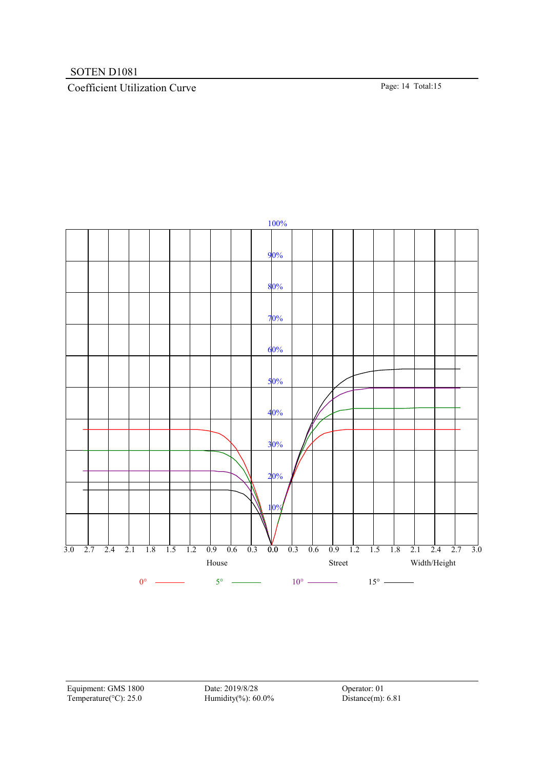## Coefficient Utilization Curve Page: 14 Total:15



Equipment: GMS 1800 Date: 2019/8/28 Operator: 01 Temperature(°C): 25.0 Humidity(%): 60.0% Distance(m): 6.81